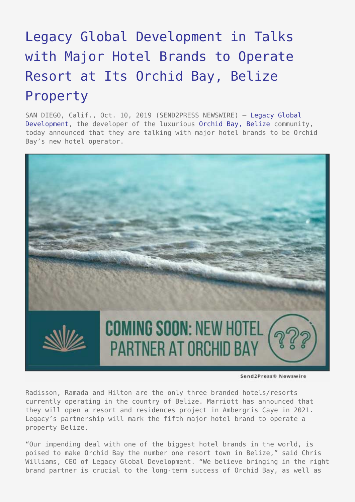## [Legacy Global Development in Talks](https://www.send2press.com/wire/legacy-global-development-in-talks-with-major-hotel-brands-to-operate-resort-at-its-orchid-bay-belize-property/) [with Major Hotel Brands to Operate](https://www.send2press.com/wire/legacy-global-development-in-talks-with-major-hotel-brands-to-operate-resort-at-its-orchid-bay-belize-property/) [Resort at Its Orchid Bay, Belize](https://www.send2press.com/wire/legacy-global-development-in-talks-with-major-hotel-brands-to-operate-resort-at-its-orchid-bay-belize-property/) [Property](https://www.send2press.com/wire/legacy-global-development-in-talks-with-major-hotel-brands-to-operate-resort-at-its-orchid-bay-belize-property/)

SAN DIEGO, Calif., Oct. 10, 2019 (SEND2PRESS NEWSWIRE) — [Legacy Global](https://legacyglobaldevelopment.com/) [Development](https://legacyglobaldevelopment.com/), the developer of the luxurious [Orchid Bay, Belize](https://orchidbaybelize.com/) community, today announced that they are talking with major hotel brands to be Orchid Bay's new hotel operator.



Send2Press® Newswire

Radisson, Ramada and Hilton are the only three branded hotels/resorts currently operating in the country of Belize. Marriott has announced that they will open a resort and residences project in Ambergris Caye in 2021. Legacy's partnership will mark the fifth major hotel brand to operate a property Belize.

"Our impending deal with one of the biggest hotel brands in the world, is poised to make Orchid Bay the number one resort town in Belize," said Chris Williams, CEO of Legacy Global Development. "We believe bringing in the right brand partner is crucial to the long-term success of Orchid Bay, as well as